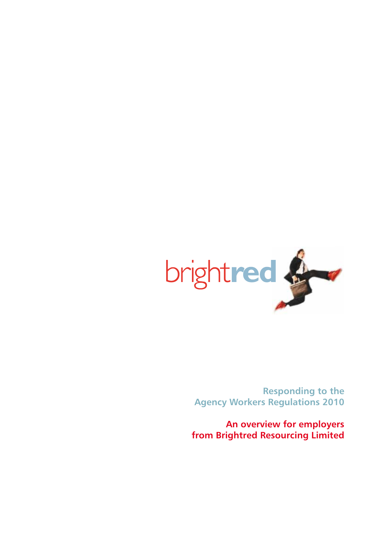

**Responding to the Agency Workers Regulations 2010**

**An overview for employers from Brightred Resourcing Limited**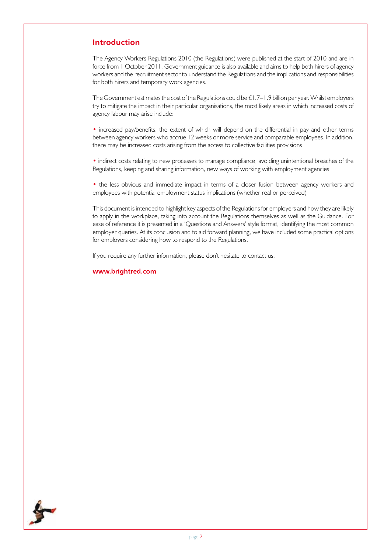# **Introduction**

The Agency Workers Regulations 2010 (the Regulations) were published at the start of 2010 and are in force from 1 October 2011. Government guidance is also available and aims to help both hirers of agency workers and the recruitment sector to understand the Regulations and the implications and responsibilities for both hirers and temporary work agencies.

The Government estimates the cost of the Regulations could be  $\pm 1.7-1.9$  billion per year. Whilst employers try to mitigate the impact in their particular organisations, the most likely areas in which increased costs of agency labour may arise include:

• increased pay/benefits, the extent of which will depend on the differential in pay and other terms between agency workers who accrue 12 weeks or more service and comparable employees. In addition, there may be increased costs arising from the access to collective facilities provisions

• indirect costs relating to new processes to manage compliance, avoiding unintentional breaches of the Regulations, keeping and sharing information, new ways of working with employment agencies

• the less obvious and immediate impact in terms of a closer fusion between agency workers and employees with potential employment status implications (whether real or perceived)

This document is intended to highlight key aspects of the Regulations for employers and how they are likely to apply in the workplace, taking into account the Regulations themselves as well as the Guidance. For ease of reference it is presented in a 'Questions and Answers' style format, identifying the most common employer queries. At its conclusion and to aid forward planning, we have included some practical options for employers considering how to respond to the Regulations.

If you require any further information, please don't hesitate to contact us.

**www.brightred.com**

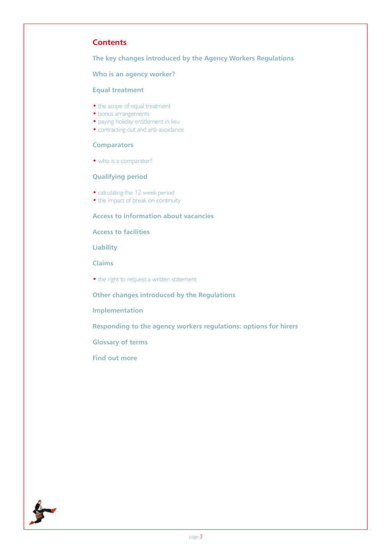# **Contents**

**The key changes introduced by the Agency Workers Regulations**

# **Who is an agency worker?**

# **Equal treatment**

- the scope of equal treatment
- bonus arrangements
- paying holiday entitlement in lieu
- contracting out and anti-avoidance

# **Comparators**

• who is a comparator?

# **Qualifying period**

- calculating the 12 week period
- the impact of break on continuity

# **Access to information about vacancies**

# **Access to facilities**

**Liability**

**Claims**

• the right to request a written statement

**Other changes introduced by the Regulations**

**Implementation**

**Responding to the agency workers regulations: options for hirers**

**Glossary of terms**

**Find out more**

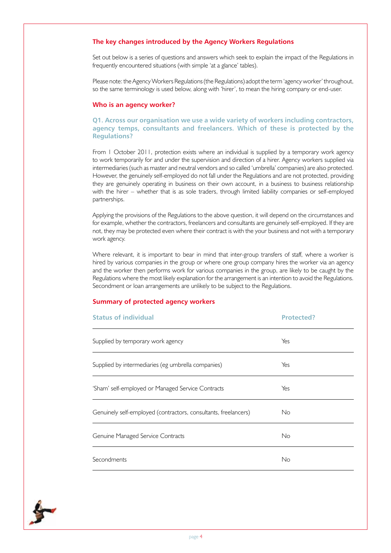# **The key changes introduced by the Agency Workers Regulations**

Set out below is a series of questions and answers which seek to explain the impact of the Regulations in frequently encountered situations (with simple 'at a glance' tables).

Please note: the Agency Workers Regulations (the Regulations) adopt the term 'agency worker' throughout, so the same terminology is used below, along with 'hirer', to mean the hiring company or end-user.

#### **Who is an agency worker?**

### **Q1. Across our organisation we use a wide variety of workers including contractors, agency temps, consultants and freelancers. Which of these is protected by the Regulations?**

From 1 October 2011, protection exists where an individual is supplied by a temporary work agency to work temporarily for and under the supervision and direction of a hirer. Agency workers supplied via intermediaries (such as master and neutral vendors and so called 'umbrella' companies) are also protected. However, the genuinely self-employed do not fall under the Regulations and are not protected, providing they are genuinely operating in business on their own account, in a business to business relationship with the hirer – whether that is as sole traders, through limited liability companies or self-employed partnerships.

Applying the provisions of the Regulations to the above question, it will depend on the circumstances and for example, whether the contractors, freelancers and consultants are genuinely self-employed. If they are not, they may be protected even where their contract is with the your business and not with a temporary work agency.

Where relevant, it is important to bear in mind that inter-group transfers of staff, where a worker is hired by various companies in the group or where one group company hires the worker via an agency and the worker then performs work for various companies in the group, are likely to be caught by the Regulations where the most likely explanation for the arrangement is an intention to avoid the Regulations. Secondment or loan arrangements are unlikely to be subject to the Regulations.

#### **Summary of protected agency workers**

| <b>Status of individual</b>                                     | Protected? |
|-----------------------------------------------------------------|------------|
| Supplied by temporary work agency                               | Yes        |
| Supplied by intermediaries (eg umbrella companies)              | Yes        |
| 'Sham' self-employed or Managed Service Contracts               | Yes        |
| Genuinely self-employed (contractors, consultants, freelancers) | No         |
| Genuine Managed Service Contracts                               | <b>No</b>  |
| Secondments                                                     | No         |

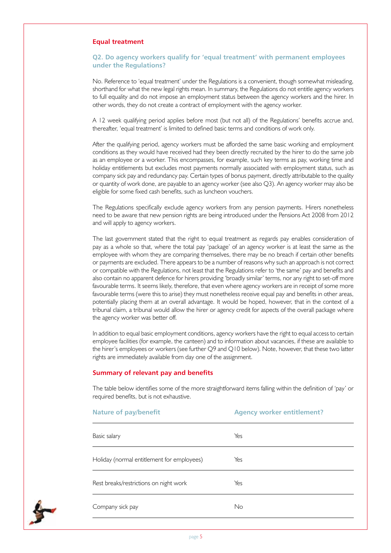## **Equal treatment**

## **Q2. Do agency workers qualify for 'equal treatment' with permanent employees under the Regulations?**

No. Reference to 'equal treatment' under the Regulations is a convenient, though somewhat misleading, shorthand for what the new legal rights mean. In summary, the Regulations do not entitle agency workers to full equality and do not impose an employment status between the agency workers and the hirer. In other words, they do not create a contract of employment with the agency worker.

A 12 week qualifying period applies before most (but not all) of the Regulations' benefits accrue and, thereafter, 'equal treatment' is limited to defined basic terms and conditions of work only.

After the qualifying period, agency workers must be afforded the same basic working and employment conditions as they would have received had they been directly recruited by the hirer to do the same job as an employee or a worker. This encompasses, for example, such key terms as pay, working time and holiday entitlements but excludes most payments normally associated with employment status, such as company sick pay and redundancy pay. Certain types of bonus payment, directly attributable to the quality or quantity of work done, are payable to an agency worker (see also Q3). An agency worker may also be eligible for some fixed cash benefits, such as luncheon vouchers.

The Regulations specifically exclude agency workers from any pension payments. Hirers nonetheless need to be aware that new pension rights are being introduced under the Pensions Act 2008 from 2012 and will apply to agency workers.

The last government stated that the right to equal treatment as regards pay enables consideration of pay as a whole so that, where the total pay 'package' of an agency worker is at least the same as the employee with whom they are comparing themselves, there may be no breach if certain other benefits or payments are excluded. There appears to be a number of reasons why such an approach is not correct or compatible with the Regulations, not least that the Regulations refer to 'the same' pay and benefits and also contain no apparent defence for hirers providing 'broadly similar' terms, nor any right to set-off more favourable terms. It seems likely, therefore, that even where agency workers are in receipt of some more favourable terms (were this to arise) they must nonetheless receive equal pay and benefits in other areas, potentially placing them at an overall advantage. It would be hoped, however, that in the context of a tribunal claim, a tribunal would allow the hirer or agency credit for aspects of the overall package where the agency worker was better off.

In addition to equal basic employment conditions, agency workers have the right to equal access to certain employee facilities (for example, the canteen) and to information about vacancies, if these are available to the hirer's employees or workers (see further Q9 and Q10 below). Note, however, that these two latter rights are immediately available from day one of the assignment.

#### **Summary of relevant pay and benefits**

Nature of pay/benefit **Agency worker entitlement?** Basic salary Yes Holiday (normal entitlement for employees) Yes Rest breaks/restrictions on night work Yes Company sick pay No

The table below identifies some of the more straightforward items falling within the definition of 'pay' or required benefits, but is not exhaustive.

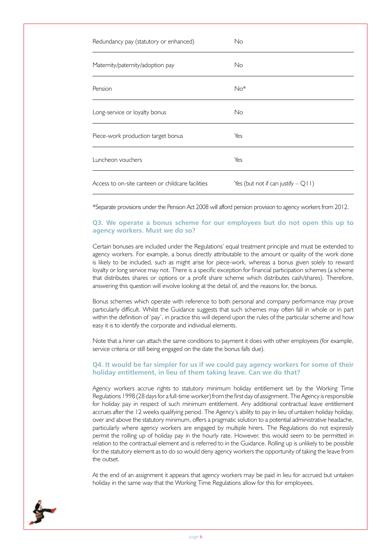| Redundancy pay (statutory or enhanced)            | No                                    |
|---------------------------------------------------|---------------------------------------|
| Maternity/paternity/adoption pay                  | No                                    |
| Pension                                           | $No*$                                 |
| Long-service or loyalty bonus                     | No                                    |
| Piece-work production target bonus                | Yes                                   |
| Luncheon vouchers                                 | Yes                                   |
| Access to on-site canteen or childcare facilities | Yes (but not if can justify $-Q(1)$ ) |

\*Separate provisions under the Pension Act 2008 will afford pension provision to agency workers from 2012.

#### **Q3. We operate a bonus scheme for our employees but do not open this up to agency workers. Must we do so?**

Certain bonuses are included under the Regulations' equal treatment principle and must be extended to agency workers. For example, a bonus directly attributable to the amount or quality of the work done is likely to be included, such as might arise for piece-work, whereas a bonus given solely to reward loyalty or long service may not. There is a specific exception for financial participation schemes (a scheme that distributes shares or options or a profit share scheme which distributes cash/shares). Therefore, answering this question will involve looking at the detail of, and the reasons for, the bonus.

Bonus schemes which operate with reference to both personal and company performance may prove particularly difficult. Whilst the Guidance suggests that such schemes may often fall in whole or in part within the definition of 'pay', in practice this will depend upon the rules of the particular scheme and how easy it is to identify the corporate and individual elements.

Note that a hirer can attach the same conditions to payment it does with other employees (for example, service criteria or still being engaged on the date the bonus falls due).

## **Q4. It would be far simpler for us if we could pay agency workers for some of their holiday entitlement, in lieu of them taking leave. Can we do that?**

Agency workers accrue rights to statutory minimum holiday entitlement set by the Working Time Regulations 1998 (28 days for a full-time worker) from the first day of assignment. The Agency is responsible for holiday pay in respect of such minimum entitlement. Any additional contractual leave entitlement accrues after the 12 weeks qualifying period. The Agency's ability to pay in lieu of untaken holiday holiday, over and above the statutory minimum, offers a pragmatic solution to a potential administrative headache, particularly where agency workers are engaged by multiple hirers. The Regulations do not expressly permit the rolling up of holiday pay in the hourly rate. However, this would seem to be permitted in relation to the contractual element and is referred to in the Guidance. Rolling up is unlikely to be possible for the statutory element as to do so would deny agency workers the opportunity of taking the leave from the outset.

At the end of an assignment it appears that agency workers may be paid in lieu for accrued but untaken holiday in the same way that the Working Time Regulations allow for this for employees.

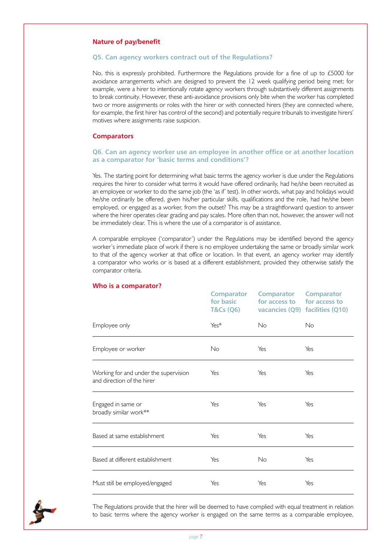#### **Nature of pay/benefit**

#### **Q5. Can agency workers contract out of the Regulations?**

No, this is expressly prohibited. Furthermore the Regulations provide for a fine of up to £5000 for avoidance arrangements which are designed to prevent the 12 week qualifying period being met; for example, were a hirer to intentionally rotate agency workers through substantively different assignments to break continuity. However, these anti-avoidance provisions only bite when the worker has completed two or more assignments or roles with the hirer or with connected hirers (they are connected where, for example, the first hirer has control of the second) and potentially require tribunals to investigate hirers' motives where assignments raise suspicion.

#### **Comparators**

## **Q6. Can an agency worker use an employee in another office or at another location as a comparator for 'basic terms and conditions'?**

Yes. The starting point for determining what basic terms the agency worker is due under the Regulations requires the hirer to consider what terms it would have offered ordinarily, had he/she been recruited as an employee or worker to do the same job (the 'as if' test). In other words, what pay and holidays would he/she ordinarily be offered, given his/her particular skills, qualifications and the role, had he/she been employed, or engaged as a worker, from the outset? This may be a straightforward question to answer where the hirer operates clear grading and pay scales. More often than not, however, the answer will not be immediately clear. This is where the use of a comparator is of assistance.

A comparable employee ('comparator') under the Regulations may be identified beyond the agency worker's immediate place of work if there is no employee undertaking the same or broadly similar work to that of the agency worker at that office or location. In that event, an agency worker may identify a comparator who works or is based at a different establishment, provided they otherwise satisfy the comparator criteria.

|                                                                     | <b>Comparator</b><br>for basic<br><b>T&amp;Cs (Q6)</b> | <b>Comparator</b><br>for access to for access to | <b>Comparator</b><br>vacancies (Q9) facilities (Q10) |
|---------------------------------------------------------------------|--------------------------------------------------------|--------------------------------------------------|------------------------------------------------------|
| Employee only                                                       | Yes*                                                   | No                                               | No                                                   |
| Employee or worker                                                  | No                                                     | Yes                                              | Yes                                                  |
| Working for and under the supervision<br>and direction of the hirer | Yes                                                    | Yes                                              | Yes                                                  |
| Engaged in same or<br>broadly similar work**                        | Yes                                                    | Yes                                              | Yes                                                  |
| Based at same establishment                                         | Yes                                                    | Yes                                              | Yes                                                  |
| Based at different establishment                                    | Yes                                                    | <b>No</b>                                        | Yes                                                  |
| Must still be employed/engaged                                      | Yes                                                    | Yes                                              | Yes                                                  |

#### **Who is a comparator?**



The Regulations provide that the hirer will be deemed to have complied with equal treatment in relation to basic terms where the agency worker is engaged on the same terms as a comparable employee,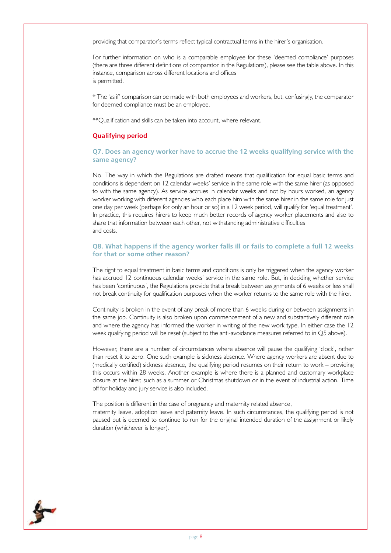providing that comparator's terms reflect typical contractual terms in the hirer's organisation.

For further information on who is a comparable employee for these 'deemed compliance' purposes (there are three different definitions of comparator in the Regulations), please see the table above. In this instance, comparison across different locations and offices is permitted.

\* The 'as if' comparison can be made with both employees and workers, but, confusingly, the comparator for deemed compliance must be an employee.

\*\*Qualification and skills can be taken into account, where relevant.

## **Qualifying period**

**Q7. Does an agency worker have to accrue the 12 weeks qualifying service with the same agency?**

No. The way in which the Regulations are drafted means that qualification for equal basic terms and conditions is dependent on 12 calendar weeks' service in the same role with the same hirer (as opposed to with the same agency). As service accrues in calendar weeks and not by hours worked, an agency worker working with different agencies who each place him with the same hirer in the same role for just one day per week (perhaps for only an hour or so) in a 12 week period, will qualify for 'equal treatment'. In practice, this requires hirers to keep much better records of agency worker placements and also to share that information between each other, not withstanding administrative difficulties and costs.

#### **Q8. What happens if the agency worker falls ill or fails to complete a full 12 weeks for that or some other reason?**

The right to equal treatment in basic terms and conditions is only be triggered when the agency worker has accrued 12 continuous calendar weeks' service in the same role. But, in deciding whether service has been 'continuous', the Regulations provide that a break between assignments of 6 weeks or less shall not break continuity for qualification purposes when the worker returns to the same role with the hirer.

Continuity is broken in the event of any break of more than 6 weeks during or between assignments in the same job. Continuity is also broken upon commencement of a new and substantively different role and where the agency has informed the worker in writing of the new work type. In either case the 12 week qualifying period will be reset (subject to the anti-avoidance measures referred to in Q5 above).

However, there are a number of circumstances where absence will pause the qualifying 'clock', rather than reset it to zero. One such example is sickness absence. Where agency workers are absent due to (medically certified) sickness absence, the qualifying period resumes on their return to work – providing this occurs within 28 weeks. Another example is where there is a planned and customary workplace closure at the hirer, such as a summer or Christmas shutdown or in the event of industrial action. Time off for holiday and jury service is also included.

The position is different in the case of pregnancy and maternity related absence, maternity leave, adoption leave and paternity leave. In such circumstances, the qualifying period is not paused but is deemed to continue to run for the original intended duration of the assignment or likely duration (whichever is longer).

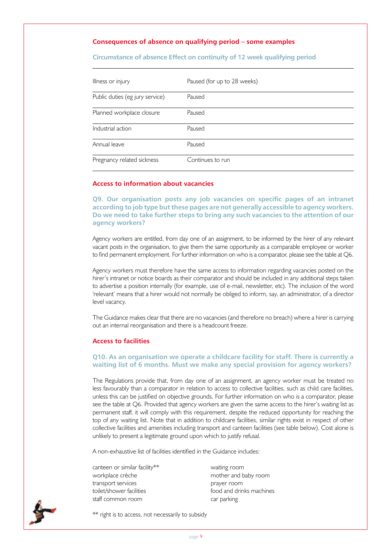# **Consequences of absence on qualifying period – some examples**

**Circumstance of absence Effect on continuity of 12 week qualifying period**

| Illness or injury               | Paused (for up to 28 weeks) |
|---------------------------------|-----------------------------|
| Public duties (eg jury service) | Paused                      |
| Planned workplace closure       | Paused                      |
| Industrial action               | Paused                      |
| Annual leave                    | Paused                      |
| Pregnancy related sickness      | Continues to run            |

# **Access to information about vacancies**

**Q9. Our organisation posts any job vacancies on specific pages of an intranet according to job type but these pages are not generally accessible to agency workers. Do we need to take further steps to bring any such vacancies to the attention of our agency workers?**

Agency workers are entitled, from day one of an assignment, to be informed by the hirer of any relevant vacant posts in the organisation, to give them the same opportunity as a comparable employee or worker to find permanent employment. For further information on who is a comparator, please see the table at Q6.

Agency workers must therefore have the same access to information regarding vacancies posted on the hirer's intranet or notice boards as their comparator and should be included in any additional steps taken to advertise a position internally (for example, use of e-mail, newsletter, etc). The inclusion of the word 'relevant' means that a hirer would not normally be obliged to inform, say, an administrator, of a director level vacancy.

The Guidance makes clear that there are no vacancies (and therefore no breach) where a hirer is carrying out an internal reorganisation and there is a headcount freeze.

#### **Access to facilities**

#### **Q10. As an organisation we operate a childcare facility for staff. There is currently a waiting list of 6 months. Must we make any special provision for agency workers?**

The Regulations provide that, from day one of an assignment, an agency worker must be treated no less favourably than a comparator in relation to access to collective facilities, such as child care facilities, unless this can be justified on objective grounds. For further information on who is a comparator, please see the table at Q6. Provided that agency workers are given the same access to the hirer's waiting list as permanent staff, it will comply with this requirement, despite the reduced opportunity for reaching the top of any waiting list. Note that in addition to childcare facilities, similar rights exist in respect of other collective facilities and amenities including transport and canteen facilities (see table below). Cost alone is unlikely to present a legitimate ground upon which to justify refusal.

A non-exhaustive list of facilities identified in the Guidance includes:

canteen or similar facility\*\* waiting room workplace crèche mother and baby room transport services example and transport services prayer room toilet/shower facilities food and drinks machines staff common room car parking

\*\* right is to access, not necessarily to subsidy

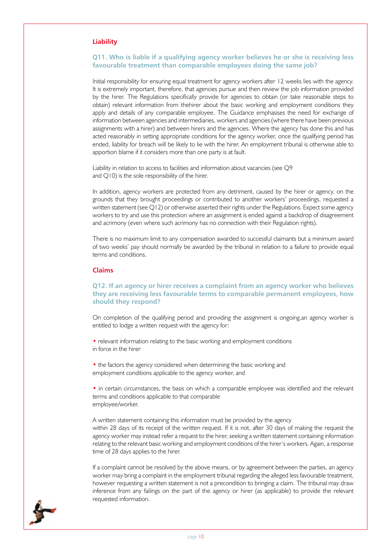### **Liability**

### **Q11. Who is liable if a qualifying agency worker believes he or she is receiving less favourable treatment than comparable employees doing the same job?**

Initial responsibility for ensuring equal treatment for agency workers after 12 weeks lies with the agency. It is extremely important, therefore, that agencies pursue and then review the job information provided by the hirer. The Regulations specifically provide for agencies to obtain (or take reasonable steps to obtain) relevant information from thehirer about the basic working and employment conditions they apply and details of any comparable employee. The Guidance emphasises the need for exchange of information between agencies and intermediaries, workers and agencies (where there have been previous assignments with a hirer) and between hirers and the agencies. Where the agency has done this and has acted reasonably in setting appropriate conditions for the agency worker, once the qualifying period has ended, liability for breach will be likely to lie with the hirer. An employment tribunal is otherwise able to apportion blame if it considers more than one party is at fault.

Liability in relation to access to facilities and information about vacancies (see Q9 and Q10) is the sole responsibility of the hirer.

In addition, agency workers are protected from any detriment, caused by the hirer or agency, on the grounds that they brought proceedings or contributed to another workers' proceedings, requested a written statement (see Q12) or otherwise asserted their rights under the Regulations. Expect some agency workers to try and use this protection where an assignment is ended against a backdrop of disagreement and acrimony (even where such acrimony has no connection with their Regulation rights).

There is no maximum limit to any compensation awarded to successful claimants but a minimum award of two weeks' pay should normally be awarded by the tribunal in relation to a failure to provide equal terms and conditions.

## **Claims**

### **Q12. If an agency or hirer receives a complaint from an agency worker who believes they are receiving less favourable terms to comparable permanent employees, how should they respond?**

On completion of the qualifying period and providing the assignment is ongoing,an agency worker is entitled to lodge a written request with the agency for:

• relevant information relating to the basic working and employment conditions in force in the hirer

• the factors the agency considered when determining the basic working and employment conditions applicable to the agency worker, and

• in certain circumstances, the basis on which a comparable employee was identified and the relevant terms and conditions applicable to that comparable employee/worker.

A written statement containing this information must be provided by the agency within 28 days of its receipt of the written request. If it is not, after 30 days of making the request the agency worker may instead refer a request to the hirer, seeking a written statement containing information relating to the relevant basic working and employment conditions of the hirer's workers. Again, a response time of 28 days applies to the hirer.

If a complaint cannot be resolved by the above means, or by agreement between the parties, an agency worker may bring a complaint in the employment tribunal regarding the alleged less favourable treatment, however requesting a written statement is not a precondition to bringing a claim. The tribunal may draw inference from any failings on the part of the agency or hirer (as applicable) to provide the relevant requested information.

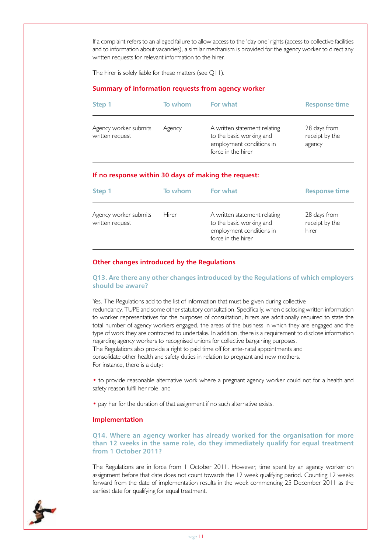If a complaint refers to an alleged failure to allow access to the 'day one' rights (access to collective facilities and to information about vacancies), a similar mechanism is provided for the agency worker to direct any written requests for relevant information to the hirer.

The hirer is solely liable for these matters (see Q11).

## **Summary of information requests from agency worker**

| Step 1                                   | To whom | For what                                                                                                   | <b>Response time</b>                     |
|------------------------------------------|---------|------------------------------------------------------------------------------------------------------------|------------------------------------------|
| Agency worker submits<br>written request | Agency  | A written statement relating<br>to the basic working and<br>employment conditions in<br>force in the hirer | 28 days from<br>receipt by the<br>agency |

#### **If no response within 30 days of making the request:**

| Step 1                                   | To whom | For what                                                                                                   | <b>Response time</b>                    |
|------------------------------------------|---------|------------------------------------------------------------------------------------------------------------|-----------------------------------------|
| Agency worker submits<br>written request | Hirer   | A written statement relating<br>to the basic working and<br>employment conditions in<br>force in the hirer | 28 days from<br>receipt by the<br>hirer |

# **Other changes introduced by the Regulations**

## **Q13. Are there any other changes introduced by the Regulations of which employers should be aware?**

Yes. The Regulations add to the list of information that must be given during collective redundancy, TUPE and some other statutory consultation. Specifically, when disclosing written information to worker representatives for the purposes of consultation, hirers are additionally required to state the total number of agency workers engaged, the areas of the business in which they are engaged and the type of work they are contracted to undertake. In addition, there is a requirement to disclose information regarding agency workers to recognised unions for collective bargaining purposes. The Regulations also provide a right to paid time off for ante-natal appointments and consolidate other health and safety duties in relation to pregnant and new mothers. For instance, there is a duty:

• to provide reasonable alternative work where a pregnant agency worker could not for a health and safety reason fulfil her role, and

• pay her for the duration of that assignment if no such alternative exists.

#### **Implementation**

## **Q14. Where an agency worker has already worked for the organisation for more than 12 weeks in the same role, do they immediately qualify for equal treatment from 1 October 2011?**

The Regulations are in force from 1 October 2011. However, time spent by an agency worker on assignment before that date does not count towards the 12 week qualifying period. Counting 12 weeks forward from the date of implementation results in the week commencing 25 December 2011 as the earliest date for qualifying for equal treatment.

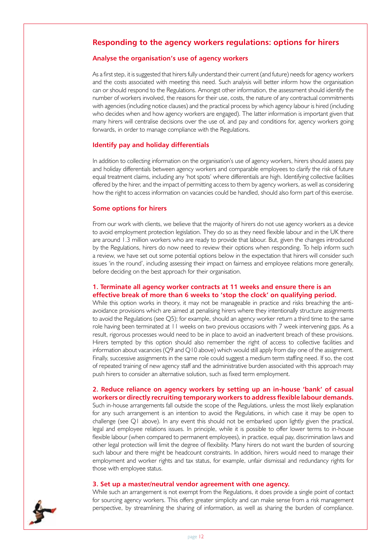# **Responding to the agency workers regulations: options for hirers**

# **Analyse the organisation's use of agency workers**

As a first step, it is suggested that hirers fully understand their current (and future) needs for agency workers and the costs associated with meeting this need. Such analysis will better inform how the organisation can or should respond to the Regulations. Amongst other information, the assessment should identify the number of workers involved, the reasons for their use, costs, the nature of any contractual commitments with agencies (including notice clauses) and the practical process by which agency labour is hired (including who decides when and how agency workers are engaged). The latter information is important given that many hirers will centralise decisions over the use of, and pay and conditions for, agency workers going forwards, in order to manage compliance with the Regulations.

## **Identify pay and holiday differentials**

In addition to collecting information on the organisation's use of agency workers, hirers should assess pay and holiday differentials between agency workers and comparable employees to clarify the risk of future equal treatment claims, including any 'hot spots' where differentials are high. Identifying collective facilities offered by the hirer, and the impact of permitting access to them by agency workers, as well as considering how the right to access information on vacancies could be handled, should also form part of this exercise.

#### **Some options for hirers**

From our work with clients, we believe that the majority of hirers do not use agency workers as a device to avoid employment protection legislation. They do so as they need flexible labour and in the UK there are around 1.3 million workers who are ready to provide that labour. But, given the changes introduced by the Regulations, hirers do now need to review their options when responding. To help inform such a review, we have set out some potential options below in the expectation that hirers will consider such issues 'in the round', including assessing their impact on fairness and employee relations more generally, before deciding on the best approach for their organisation.

## **1. Terminate all agency worker contracts at 11 weeks and ensure there is an effective break of more than 6 weeks to 'stop the clock' on qualifying period.**

While this option works in theory, it may not be manageable in practice and risks breaching the antiavoidance provisions which are aimed at penalising hirers where they intentionally structure assignments to avoid the Regulations (see Q5); for example, should an agency worker return a third time to the same role having been terminated at 11 weeks on two previous occasions with 7 week intervening gaps. As a result, rigorous processes would need to be in place to avoid an inadvertent breach of these provisions. Hirers tempted by this option should also remember the right of access to collective facilities and information about vacancies (Q9 and Q10 above) which would still apply from day one of the assignment. Finally, successive assignments in the same role could suggest a medium term staffing need. If so, the cost of repeated training of new agency staff and the administrative burden associated with this approach may push hirers to consider an alternative solution, such as fixed term employment.

# **2. Reduce reliance on agency workers by setting up an in-house 'bank' of casual workers or directly recruiting temporary workers to address flexible labour demands.**

Such in-house arrangements fall outside the scope of the Regulations, unless the most likely explanation for any such arrangement is an intention to avoid the Regulations, in which case it may be open to challenge (see Q1 above). In any event this should not be embarked upon lightly given the practical, legal and employee relations issues. In principle, while it is possible to offer lower terms to in-house flexible labour (when compared to permanent employees), in practice, equal pay, discrimination laws and other legal protection will limit the degree of flexibility. Many hirers do not want the burden of sourcing such labour and there might be headcount constraints. In addition, hirers would need to manage their employment and worker rights and tax status, for example, unfair dismissal and redundancy rights for those with employee status.

#### **3. Set up a master/neutral vendor agreement with one agency.**

While such an arrangement is not exempt from the Regulations, it does provide a single point of contact for sourcing agency workers. This offers greater simplicity and can make sense from a risk management perspective, by streamlining the sharing of information, as well as sharing the burden of compliance.

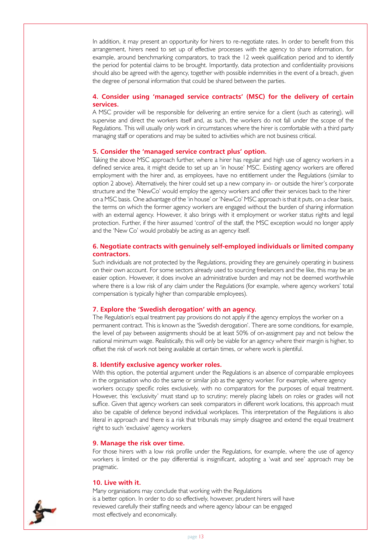In addition, it may present an opportunity for hirers to re-negotiate rates. In order to benefit from this arrangement, hirers need to set up of effective processes with the agency to share information, for example, around benchmarking comparators, to track the 12 week qualification period and to identify the period for potential claims to be brought. Importantly, data protection and confidentiality provisions should also be agreed with the agency, together with possible indemnities in the event of a breach, given the degree of personal information that could be shared between the parties.

# **4. Consider using 'managed service contracts' (MSC) for the delivery of certain services.**

A MSC provider will be responsible for delivering an entire service for a client (such as catering), will supervise and direct the workers itself and, as such, the workers do not fall under the scope of the Regulations. This will usually only work in circumstances where the hirer is comfortable with a third party managing staff or operations and may be suited to activities which are not business critical.

#### **5. Consider the 'managed service contract plus' option.**

Taking the above MSC approach further, where a hirer has regular and high use of agency workers in a defined service area, it might decide to set up an 'in house' MSC. Existing agency workers are offered employment with the hirer and, as employees, have no entitlement under the Regulations (similar to option 2 above). Alternatively, the hirer could set up a new company in- or outside the hirer's corporate structure and the 'NewCo' would employ the agency workers and offer their services back to the hirer on a MSC basis. One advantage of the 'in house' or 'NewCo' MSC approach is that it puts, on a clear basis, the terms on which the former agency workers are engaged without the burden of sharing information with an external agency. However, it also brings with it employment or worker status rights and legal protection. Further, if the hirer assumed 'control' of the staff, the MSC exception would no longer apply and the 'New Co' would probably be acting as an agency itself.

#### **6. Negotiate contracts with genuinely self-employed individuals or limited company contractors.**

Such individuals are not protected by the Regulations, providing they are genuinely operating in business on their own account. For some sectors already used to sourcing freelancers and the like, this may be an easier option. However, it does involve an administrative burden and may not be deemed worthwhile where there is a low risk of any claim under the Regulations (for example, where agency workers' total compensation is typically higher than comparable employees).

#### **7. Explore the 'Swedish derogation' with an agency.**

The Regulation's equal treatment pay provisions do not apply if the agency employs the worker on a permanent contract. This is known as the 'Swedish derogation'. There are some conditions, for example, the level of pay between assignments should be at least 50% of on-assignment pay and not below the national minimum wage. Realistically, this will only be viable for an agency where their margin is higher, to offset the risk of work not being available at certain times, or where work is plentiful.

#### **8. Identify exclusive agency worker roles.**

With this option, the potential argument under the Regulations is an absence of comparable employees in the organisation who do the same or similar job as the agency worker. For example, where agency workers occupy specific roles exclusively, with no comparators for the purposes of equal treatment. However, this 'exclusivity' must stand up to scrutiny; merely placing labels on roles or grades will not suffice. Given that agency workers can seek comparators in different work locations, this approach must also be capable of defence beyond individual workplaces. This interpretation of the Regulations is also literal in approach and there is a risk that tribunals may simply disagree and extend the equal treatment right to such 'exclusive' agency workers

#### **9. Manage the risk over time.**

For those hirers with a low risk profile under the Regulations, for example, where the use of agency workers is limited or the pay differential is insignificant, adopting a 'wait and see' approach may be pragmatic.

#### **10. Live with it.**

Many organisations may conclude that working with the Regulations is a better option. In order to do so effectively, however, prudent hirers will have reviewed carefully their staffing needs and where agency labour can be engaged most effectively and economically.